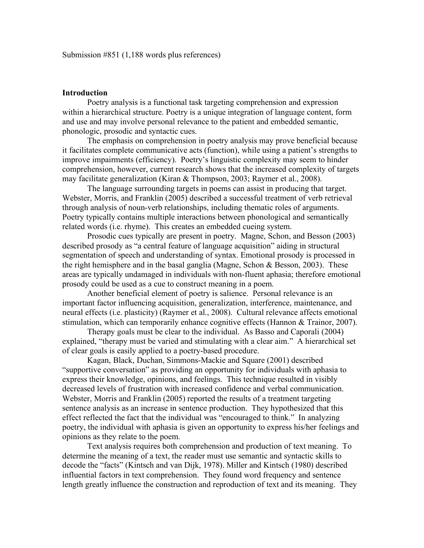# **Introduction**

Poetry analysis is a functional task targeting comprehension and expression within a hierarchical structure. Poetry is a unique integration of language content, form and use and may involve personal relevance to the patient and embedded semantic, phonologic, prosodic and syntactic cues.

The emphasis on comprehension in poetry analysis may prove beneficial because it facilitates complete communicative acts (function), while using a patient's strengths to improve impairments (efficiency). Poetry's linguistic complexity may seem to hinder comprehension, however, current research shows that the increased complexity of targets may facilitate generalization (Kiran & Thompson, 2003; Raymer et al., 2008).

The language surrounding targets in poems can assist in producing that target. Webster, Morris, and Franklin (2005) described a successful treatment of verb retrieval through analysis of noun-verb relationships, including thematic roles of arguments. Poetry typically contains multiple interactions between phonological and semantically related words (i.e. rhyme). This creates an embedded cueing system.

Prosodic cues typically are present in poetry. Magne, Schon, and Besson (2003) described prosody as "a central feature of language acquisition" aiding in structural segmentation of speech and understanding of syntax. Emotional prosody is processed in the right hemisphere and in the basal ganglia (Magne, Schon & Besson, 2003). These areas are typically undamaged in individuals with non-fluent aphasia; therefore emotional prosody could be used as a cue to construct meaning in a poem.

Another beneficial element of poetry is salience. Personal relevance is an important factor influencing acquisition, generalization, interference, maintenance, and neural effects (i.e. plasticity) (Raymer et al., 2008). Cultural relevance affects emotional stimulation, which can temporarily enhance cognitive effects (Hannon & Trainor, 2007).

Therapy goals must be clear to the individual. As Basso and Caporali (2004) explained, "therapy must be varied and stimulating with a clear aim." A hierarchical set of clear goals is easily applied to a poetry-based procedure.

Kagan, Black, Duchan, Simmons-Mackie and Square (2001) described "supportive conversation" as providing an opportunity for individuals with aphasia to express their knowledge, opinions, and feelings. This technique resulted in visibly decreased levels of frustration with increased confidence and verbal communication. Webster, Morris and Franklin (2005) reported the results of a treatment targeting sentence analysis as an increase in sentence production. They hypothesized that this effect reflected the fact that the individual was "encouraged to think." In analyzing poetry, the individual with aphasia is given an opportunity to express his/her feelings and opinions as they relate to the poem.

Text analysis requires both comprehension and production of text meaning. To determine the meaning of a text, the reader must use semantic and syntactic skills to decode the "facts" (Kintsch and van Dijk, 1978). Miller and Kintsch (1980) described influential factors in text comprehension. They found word frequency and sentence length greatly influence the construction and reproduction of text and its meaning. They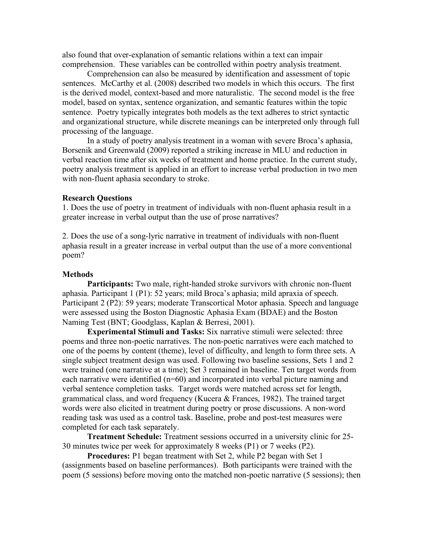also found that over-explanation of semantic relations within a text can impair comprehension. These variables can be controlled within poetry analysis treatment.

Comprehension can also be measured by identification and assessment of topic sentences. McCarthy et al. (2008) described two models in which this occurs. The first is the derived model, context-based and more naturalistic. The second model is the free model, based on syntax, sentence organization, and semantic features within the topic sentence. Poetry typically integrates both models as the text adheres to strict syntactic and organizational structure, while discrete meanings can be interpreted only through full processing of the language.

In a study of poetry analysis treatment in a woman with severe Broca's aphasia, Borsenik and Greenwald (2009) reported a striking increase in MLU and reduction in verbal reaction time after six weeks of treatment and home practice. In the current study, poetry analysis treatment is applied in an effort to increase verbal production in two men with non-fluent aphasia secondary to stroke.

#### **Research Questions**

1. Does the use of poetry in treatment of individuals with non-fluent aphasia result in a greater increase in verbal output than the use of prose narratives?

2. Does the use of a song-lyric narrative in treatment of individuals with non-fluent aphasia result in a greater increase in verbal output than the use of a more conventional poem?

# **Methods**

**Participants:** Two male, right-handed stroke survivors with chronic non-fluent aphasia. Participant 1 (P1): 52 years; mild Broca's aphasia; mild apraxia of speech. Participant 2 (P2): 59 years; moderate Transcortical Motor aphasia. Speech and language were assessed using the Boston Diagnostic Aphasia Exam (BDAE) and the Boston Naming Test (BNT; Goodglass, Kaplan & Berresi, 2001).

**Experimental Stimuli and Tasks:** Six narrative stimuli were selected: three poems and three non-poetic narratives. The non-poetic narratives were each matched to one of the poems by content (theme), level of difficulty, and length to form three sets. A single subject treatment design was used. Following two baseline sessions, Sets 1 and 2 were trained (one narrative at a time); Set 3 remained in baseline. Ten target words from each narrative were identified (n=60) and incorporated into verbal picture naming and verbal sentence completion tasks. Target words were matched across set for length, grammatical class, and word frequency (Kucera & Frances, 1982). The trained target words were also elicited in treatment during poetry or prose discussions. A non-word reading task was used as a control task. Baseline, probe and post-test measures were completed for each task separately.

**Treatment Schedule:** Treatment sessions occurred in a university clinic for 25- 30 minutes twice per week for approximately 8 weeks (P1) or 7 weeks (P2).

**Procedures:** P1 began treatment with Set 2, while P2 began with Set 1 (assignments based on baseline performances). Both participants were trained with the poem (5 sessions) before moving onto the matched non-poetic narrative (5 sessions); then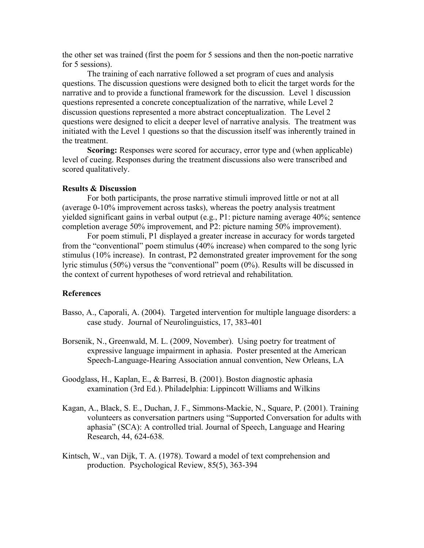the other set was trained (first the poem for 5 sessions and then the non-poetic narrative for 5 sessions).

The training of each narrative followed a set program of cues and analysis questions. The discussion questions were designed both to elicit the target words for the narrative and to provide a functional framework for the discussion. Level 1 discussion questions represented a concrete conceptualization of the narrative, while Level 2 discussion questions represented a more abstract conceptualization. The Level 2 questions were designed to elicit a deeper level of narrative analysis. The treatment was initiated with the Level 1 questions so that the discussion itself was inherently trained in the treatment.

**Scoring:** Responses were scored for accuracy, error type and (when applicable) level of cueing. Responses during the treatment discussions also were transcribed and scored qualitatively.

# **Results & Discussion**

For both participants, the prose narrative stimuli improved little or not at all (average 0-10% improvement across tasks), whereas the poetry analysis treatment yielded significant gains in verbal output (e.g., P1: picture naming average 40%; sentence completion average 50% improvement, and P2: picture naming 50% improvement).

For poem stimuli, P1 displayed a greater increase in accuracy for words targeted from the "conventional" poem stimulus (40% increase) when compared to the song lyric stimulus (10% increase). In contrast, P2 demonstrated greater improvement for the song lyric stimulus (50%) versus the "conventional" poem (0%). Results will be discussed in the context of current hypotheses of word retrieval and rehabilitation.

# **References**

- Basso, A., Caporali, A. (2004). Targeted intervention for multiple language disorders: a case study. Journal of Neurolinguistics, 17, 383-401
- Borsenik, N., Greenwald, M. L. (2009, November). Using poetry for treatment of expressive language impairment in aphasia. Poster presented at the American Speech-Language-Hearing Association annual convention, New Orleans, LA
- Goodglass, H., Kaplan, E., & Barresi, B. (2001). Boston diagnostic aphasia examination (3rd Ed.). Philadelphia: Lippincott Williams and Wilkins
- Kagan, A., Black, S. E., Duchan, J. F., Simmons-Mackie, N., Square, P. (2001). Training volunteers as conversation partners using "Supported Conversation for adults with aphasia" (SCA): A controlled trial. Journal of Speech, Language and Hearing Research, 44, 624-638.
- Kintsch, W., van Dijk, T. A. (1978). Toward a model of text comprehension and production. Psychological Review, 85(5), 363-394